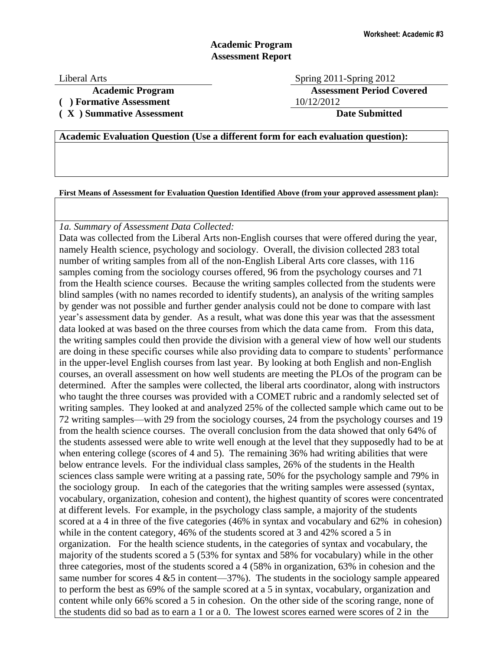# **Academic Program Assessment Report**

Liberal Arts Spring 2011-Spring 2012 **Academic Program Assessment Period Covered**

**( ) Formative Assessment** 10/12/2012

**( X ) Summative Assessment Date Submitted**

## **Academic Evaluation Question (Use a different form for each evaluation question):**

**First Means of Assessment for Evaluation Question Identified Above (from your approved assessment plan):**

### *1a. Summary of Assessment Data Collected:*

Data was collected from the Liberal Arts non-English courses that were offered during the year, namely Health science, psychology and sociology. Overall, the division collected 283 total number of writing samples from all of the non-English Liberal Arts core classes, with 116 samples coming from the sociology courses offered, 96 from the psychology courses and 71 from the Health science courses. Because the writing samples collected from the students were blind samples (with no names recorded to identify students), an analysis of the writing samples by gender was not possible and further gender analysis could not be done to compare with last year's assessment data by gender. As a result, what was done this year was that the assessment data looked at was based on the three courses from which the data came from. From this data, the writing samples could then provide the division with a general view of how well our students are doing in these specific courses while also providing data to compare to students' performance in the upper-level English courses from last year. By looking at both English and non-English courses, an overall assessment on how well students are meeting the PLOs of the program can be determined. After the samples were collected, the liberal arts coordinator, along with instructors who taught the three courses was provided with a COMET rubric and a randomly selected set of writing samples. They looked at and analyzed 25% of the collected sample which came out to be 72 writing samples—with 29 from the sociology courses, 24 from the psychology courses and 19 from the health science courses. The overall conclusion from the data showed that only 64% of the students assessed were able to write well enough at the level that they supposedly had to be at when entering college (scores of 4 and 5). The remaining 36% had writing abilities that were below entrance levels. For the individual class samples, 26% of the students in the Health sciences class sample were writing at a passing rate, 50% for the psychology sample and 79% in the sociology group. In each of the categories that the writing samples were assessed (syntax, vocabulary, organization, cohesion and content), the highest quantity of scores were concentrated at different levels. For example, in the psychology class sample, a majority of the students scored at a 4 in three of the five categories (46% in syntax and vocabulary and 62% in cohesion) while in the content category, 46% of the students scored at 3 and 42% scored a 5 in organization. For the health science students, in the categories of syntax and vocabulary, the majority of the students scored a 5 (53% for syntax and 58% for vocabulary) while in the other three categories, most of the students scored a 4 (58% in organization, 63% in cohesion and the same number for scores  $4 \& 5$  in content—37%). The students in the sociology sample appeared to perform the best as 69% of the sample scored at a 5 in syntax, vocabulary, organization and content while only 66% scored a 5 in cohesion. On the other side of the scoring range, none of the students did so bad as to earn a 1 or a 0. The lowest scores earned were scores of 2 in the